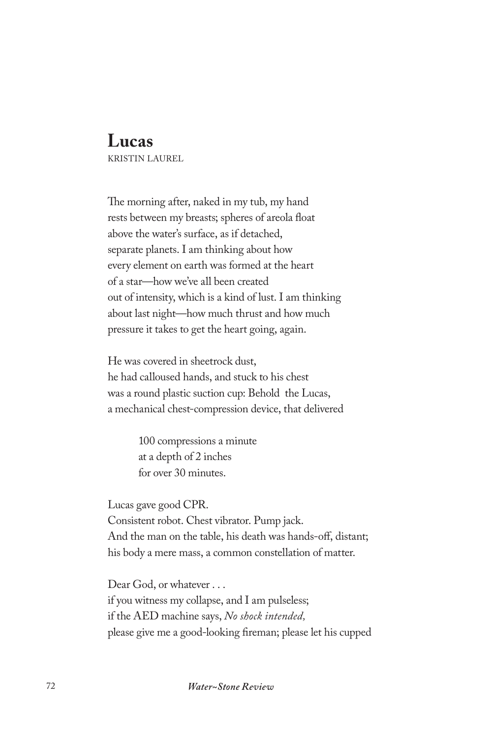## **Lucas**

KRISTIN LAUREL

The morning after, naked in my tub, my hand rests between my breasts; spheres of areola float above the water's surface, as if detached, separate planets. I am thinking about how every element on earth was formed at the heart of a star—how we've all been created out of intensity, which is a kind of lust. I am thinking about last night—how much thrust and how much pressure it takes to get the heart going, again.

He was covered in sheetrock dust, he had calloused hands, and stuck to his chest was a round plastic suction cup: Behold the Lucas, a mechanical chest-compression device, that delivered

> 100 compressions a minute at a depth of 2 inches for over 30 minutes.

Lucas gave good CPR. Consistent robot. Chest vibrator. Pump jack. And the man on the table, his death was hands-off, distant; his body a mere mass, a common constellation of matter.

Dear God, or whatever . . . if you witness my collapse, and I am pulseless; if the AED machine says, *No shock intended,*  please give me a good-looking fireman; please let his cupped